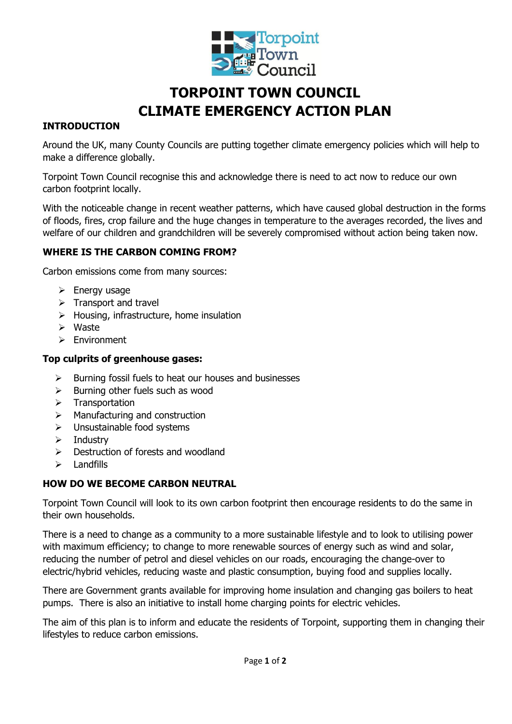

# **TORPOINT TOWN COUNCIL CLIMATE EMERGENCY ACTION PLAN**

# **INTRODUCTION**

Around the UK, many County Councils are putting together climate emergency policies which will help to make a difference globally.

Torpoint Town Council recognise this and acknowledge there is need to act now to reduce our own carbon footprint locally.

With the noticeable change in recent weather patterns, which have caused global destruction in the forms of floods, fires, crop failure and the huge changes in temperature to the averages recorded, the lives and welfare of our children and grandchildren will be severely compromised without action being taken now.

# **WHERE IS THE CARBON COMING FROM?**

Carbon emissions come from many sources:

- $\triangleright$  Energy usage
- $\triangleright$  Transport and travel
- $\triangleright$  Housing, infrastructure, home insulation
- Waste
- Environment

### **Top culprits of greenhouse gases:**

- $\triangleright$  Burning fossil fuels to heat our houses and businesses
- $\triangleright$  Burning other fuels such as wood
- $\triangleright$  Transportation
- $\triangleright$  Manufacturing and construction
- $\triangleright$  Unsustainable food systems
- $\triangleright$  Industry
- $\triangleright$  Destruction of forests and woodland
- $\triangleright$  Landfills

# **HOW DO WE BECOME CARBON NEUTRAL**

Torpoint Town Council will look to its own carbon footprint then encourage residents to do the same in their own households.

There is a need to change as a community to a more sustainable lifestyle and to look to utilising power with maximum efficiency; to change to more renewable sources of energy such as wind and solar, reducing the number of petrol and diesel vehicles on our roads, encouraging the change-over to electric/hybrid vehicles, reducing waste and plastic consumption, buying food and supplies locally.

There are Government grants available for improving home insulation and changing gas boilers to heat pumps. There is also an initiative to install home charging points for electric vehicles.

The aim of this plan is to inform and educate the residents of Torpoint, supporting them in changing their lifestyles to reduce carbon emissions.